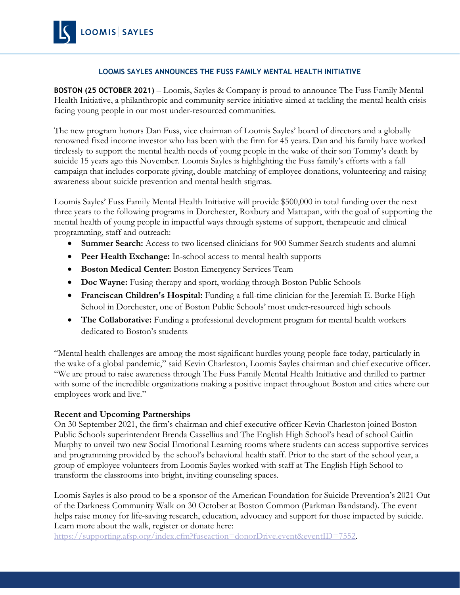

## **LOOMIS SAYLES ANNOUNCES THE FUSS FAMILY MENTAL HEALTH INITIATIVE**

**BOSTON (25 OCTOBER 2021)** – Loomis, Sayles & Company is proud to announce The Fuss Family Mental Health Initiative, a philanthropic and community service initiative aimed at tackling the mental health crisis facing young people in our most under-resourced communities.

The new program honors Dan Fuss, vice chairman of Loomis Sayles' board of directors and a globally renowned fixed income investor who has been with the firm for 45 years. Dan and his family have worked tirelessly to support the mental health needs of young people in the wake of their son Tommy's death by suicide 15 years ago this November. Loomis Sayles is highlighting the Fuss family's efforts with a fall campaign that includes corporate giving, double-matching of employee donations, volunteering and raising awareness about suicide prevention and mental health stigmas.

Loomis Sayles' Fuss Family Mental Health Initiative will provide \$500,000 in total funding over the next three years to the following programs in Dorchester, Roxbury and Mattapan, with the goal of supporting the mental health of young people in impactful ways through systems of support, therapeutic and clinical programming, staff and outreach:

- **Summer Search:** Access to two licensed clinicians for 900 Summer Search students and alumni
- **Peer Health Exchange:** In-school access to mental health supports
- **Boston Medical Center:** Boston Emergency Services Team
- **Doc Wayne:** Fusing therapy and sport, working through Boston Public Schools
- **Franciscan Children's Hospital:** Funding a full-time clinician for the Jeremiah E. Burke High School in Dorchester, one of Boston Public Schools' most under-resourced high schools
- **The Collaborative:** Funding a professional development program for mental health workers dedicated to Boston's students

"Mental health challenges are among the most significant hurdles young people face today, particularly in the wake of a global pandemic," said Kevin Charleston, Loomis Sayles chairman and chief executive officer. "We are proud to raise awareness through The Fuss Family Mental Health Initiative and thrilled to partner with some of the incredible organizations making a positive impact throughout Boston and cities where our employees work and live."

## **Recent and Upcoming Partnerships**

On 30 September 2021, the firm's chairman and chief executive officer Kevin Charleston joined Boston Public Schools superintendent Brenda Cassellius and The English High School's head of school Caitlin Murphy to unveil two new Social Emotional Learning rooms where students can access supportive services and programming provided by the school's behavioral health staff. Prior to the start of the school year, a group of employee volunteers from Loomis Sayles worked with staff at The English High School to transform the classrooms into bright, inviting counseling spaces.

Loomis Sayles is also proud to be a sponsor of the American Foundation for Suicide Prevention's 2021 Out of the Darkness Community Walk on 30 October at Boston Common (Parkman Bandstand). The event helps raise money for life-saving research, education, advocacy and support for those impacted by suicide. Learn more about the walk, register or donate here:

[https://supporting.afsp.org/index.cfm?fuseaction=donorDrive.event&eventID=7552.](https://supporting.afsp.org/index.cfm?fuseaction=donorDrive.event&eventID=7552)